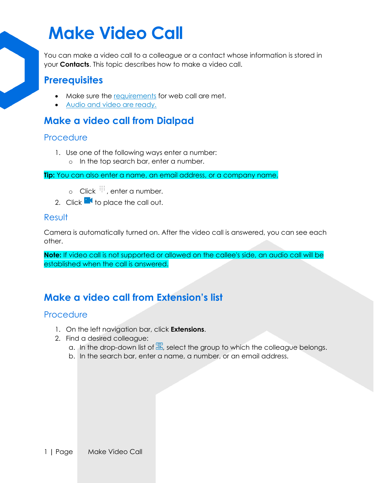## **Make Video Call**

You can make a video call to a colleague or a contact whose information is stored in your **Contacts**. This topic describes how to make a video call.

### **Prerequisites**

- Make sure the [requirements](https://help.yeastar.com/en/p-series-cloud-edition/web-client-user-guide/web-call-overview.html#web-call-overview__section_qd1_1gc_14b) for web call are met.
- [Audio and video are ready.](https://help.yeastar.com/en/p-series-cloud-edition/web-client-user-guide/configure-audio-and-video.html)

## **Make a video call from Dialpad**

#### **Procedure**

- 1. Use one of the following ways enter a number:
	- o In the top search bar, enter a number.

**Tip:** You can also enter a name, an email address, or a company name.

- $\circ$  Click  $\dddot{H}$ , enter a number.
- 2. Click  $\mathbb{R}$  to place the call out.

#### Result

Camera is automatically turned on. After the video call is answered, you can see each other.

**Note:** If video call is not supported or allowed on the callee's side, an audio call will be established when the call is answered.

## **Make a video call from Extension's list**

#### **Procedure**

- 1. On the left navigation bar, click **Extensions**.
- 2. Find a desired colleague:
	- a. In the drop-down list of  $\Xi$ , select the group to which the colleague belongs.
	- b. In the search bar, enter a name, a number, or an email address.